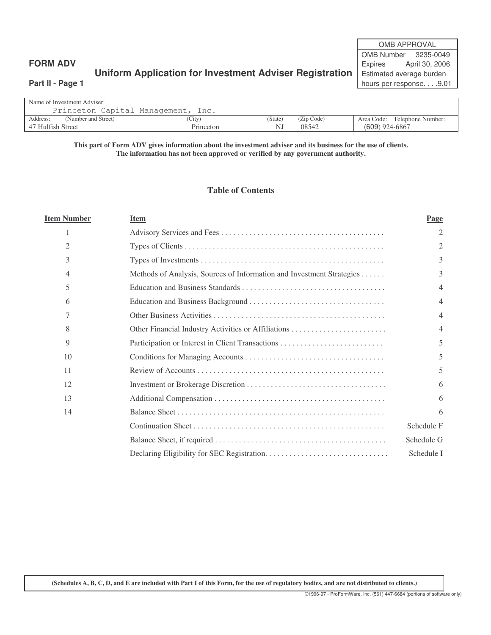# **Uniform Application for Investment Adviser Registration** | Estimated average burden

OMB APPROVAL OMB Number 3235-0049 **FORM ADV Expires** April 30, 2006 **Part II - Page 1** hours per response. . . .9.01

### Name of Investment Adviser: Princeton Capital Management, Inc. Address: (Number and Street) (City) (City) (State) (Zip Code) Area Code: Telephone Number: 47 Hulfish Street Princeton NJ 08542 (609) 924-6867 47 Hulfish Street

#### This part of Form ADV gives information about the investment adviser and its business for the use of clients. **The information has not been approved or verified by any government authority.**

## **Table of Contents**

| <b>Item Number</b> | <b>Item</b>                                                           | Page                     |
|--------------------|-----------------------------------------------------------------------|--------------------------|
|                    |                                                                       | 2                        |
| 2                  |                                                                       | 2                        |
| 3                  |                                                                       | 3                        |
| 4                  | Methods of Analysis, Sources of Information and Investment Strategies | 3                        |
| 5                  |                                                                       | 4                        |
| 6                  |                                                                       | 4                        |
| 7                  |                                                                       | $\overline{4}$           |
| 8                  |                                                                       | $\overline{4}$           |
| 9                  |                                                                       | $\overline{\phantom{1}}$ |
| 10                 |                                                                       | 5                        |
| 11                 |                                                                       | 5                        |
| 12                 |                                                                       | 6                        |
| 13                 |                                                                       | 6                        |
| 14                 |                                                                       | 6                        |
|                    |                                                                       | Schedule F               |
|                    |                                                                       | Schedule G               |
|                    |                                                                       | Schedule I               |

(Schedules A, B, C, D, and E are included with Part I of this Form, for the use of regulatory bodies, and are not distributed to clients.)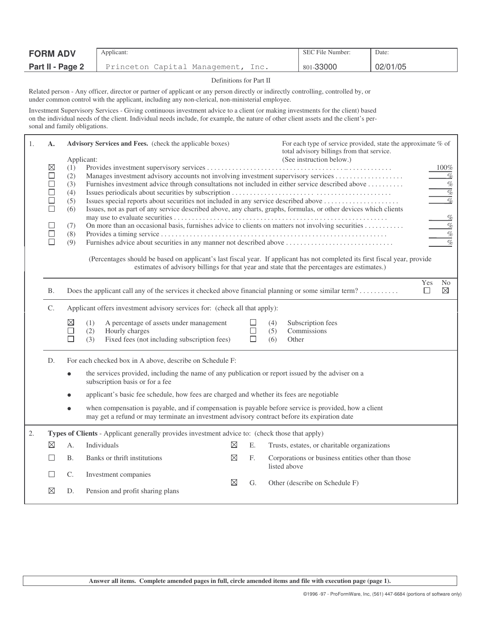| <b>FORM ADV</b>  | Applicant:                            | SEC File Number: | Date:    |
|------------------|---------------------------------------|------------------|----------|
| Part II - Page 2 | Princeton Capital Management,<br>lnc. | 801-33000        | 02/01/05 |

#### Definitions for Part II

Related person - Any officer, director or partner of applicant or any person directly or indirectly controlling, controlled by, or under common control with the applicant, including any non-clerical, non-ministerial employee.

Investment Supervisory Services - Giving continuous investment advice to a client (or making investments for the client) based on the individual needs of the client. Individual needs include, for example, the nature of other client assets and the client's personal and family obligations.

| 1. | A.<br>$\boxtimes$<br>$\Box$<br>□<br>$\Box$<br>□<br>П                                        | (1)<br>(2)<br>(3)<br>(4)<br>(5)<br>(6)<br>(7)<br>(8)<br>(9)                                                                                                                                           | Advisory Services and Fees. (check the applicable boxes)<br>Applicant:<br>Furnishes advice about securities in any manner not described above           |             |                  | For each type of service provided, state the approximate % of<br>total advisory billings from that service.<br>(See instruction below.)<br>Furnishes investment advice through consultations not included in either service described above<br>Issues special reports about securities not included in any service described above<br>Issues, not as part of any service described above, any charts, graphs, formulas, or other devices which clients<br>On more than an occasional basis, furnishes advice to clients on matters not involving securities<br>(Percentages should be based on applicant's last fiscal year. If applicant has not completed its first fiscal year, provide |  |  |  |  |  |
|----|---------------------------------------------------------------------------------------------|-------------------------------------------------------------------------------------------------------------------------------------------------------------------------------------------------------|---------------------------------------------------------------------------------------------------------------------------------------------------------|-------------|------------------|--------------------------------------------------------------------------------------------------------------------------------------------------------------------------------------------------------------------------------------------------------------------------------------------------------------------------------------------------------------------------------------------------------------------------------------------------------------------------------------------------------------------------------------------------------------------------------------------------------------------------------------------------------------------------------------------|--|--|--|--|--|
|    | estimates of advisory billings for that year and state that the percentages are estimates.) |                                                                                                                                                                                                       |                                                                                                                                                         |             |                  |                                                                                                                                                                                                                                                                                                                                                                                                                                                                                                                                                                                                                                                                                            |  |  |  |  |  |
|    | <b>B.</b>                                                                                   |                                                                                                                                                                                                       | Yes<br>N <sub>0</sub><br>$\boxtimes$<br>Does the applicant call any of the services it checked above financial planning or some similar term?<br>$\Box$ |             |                  |                                                                                                                                                                                                                                                                                                                                                                                                                                                                                                                                                                                                                                                                                            |  |  |  |  |  |
|    | C.                                                                                          | Applicant offers investment advisory services for: (check all that apply):                                                                                                                            |                                                                                                                                                         |             |                  |                                                                                                                                                                                                                                                                                                                                                                                                                                                                                                                                                                                                                                                                                            |  |  |  |  |  |
|    |                                                                                             | ⊠<br>$\Box$<br>П                                                                                                                                                                                      | A percentage of assets under management<br>(1)<br>Hourly charges<br>(2)<br>Fixed fees (not including subscription fees)<br>(3)                          |             | П<br>$\Box$<br>П | Subscription fees<br>(4)<br>Commissions<br>(5)<br>(6)<br>Other                                                                                                                                                                                                                                                                                                                                                                                                                                                                                                                                                                                                                             |  |  |  |  |  |
|    | D.                                                                                          | For each checked box in A above, describe on Schedule F:                                                                                                                                              |                                                                                                                                                         |             |                  |                                                                                                                                                                                                                                                                                                                                                                                                                                                                                                                                                                                                                                                                                            |  |  |  |  |  |
|    |                                                                                             | the services provided, including the name of any publication or report issued by the adviser on a<br>subscription basis or for a fee                                                                  |                                                                                                                                                         |             |                  |                                                                                                                                                                                                                                                                                                                                                                                                                                                                                                                                                                                                                                                                                            |  |  |  |  |  |
|    |                                                                                             |                                                                                                                                                                                                       | applicant's basic fee schedule, how fees are charged and whether its fees are negotiable                                                                |             |                  |                                                                                                                                                                                                                                                                                                                                                                                                                                                                                                                                                                                                                                                                                            |  |  |  |  |  |
|    |                                                                                             | when compensation is payable, and if compensation is payable before service is provided, how a client<br>may get a refund or may terminate an investment advisory contract before its expiration date |                                                                                                                                                         |             |                  |                                                                                                                                                                                                                                                                                                                                                                                                                                                                                                                                                                                                                                                                                            |  |  |  |  |  |
| 2. |                                                                                             |                                                                                                                                                                                                       | Types of Clients - Applicant generally provides investment advice to: (check those that apply)                                                          |             |                  |                                                                                                                                                                                                                                                                                                                                                                                                                                                                                                                                                                                                                                                                                            |  |  |  |  |  |
|    | $\boxtimes$                                                                                 | А.                                                                                                                                                                                                    | Individuals                                                                                                                                             | $\boxtimes$ | Ε.               | Trusts, estates, or charitable organizations                                                                                                                                                                                                                                                                                                                                                                                                                                                                                                                                                                                                                                               |  |  |  |  |  |
|    |                                                                                             | Β.                                                                                                                                                                                                    | Banks or thrift institutions                                                                                                                            | $\boxtimes$ | F.               | Corporations or business entities other than those<br>listed above                                                                                                                                                                                                                                                                                                                                                                                                                                                                                                                                                                                                                         |  |  |  |  |  |
|    | L                                                                                           | C.                                                                                                                                                                                                    | Investment companies                                                                                                                                    | $\boxtimes$ |                  |                                                                                                                                                                                                                                                                                                                                                                                                                                                                                                                                                                                                                                                                                            |  |  |  |  |  |
|    | ⊠                                                                                           | D.                                                                                                                                                                                                    | Pension and profit sharing plans                                                                                                                        |             | G.               | Other (describe on Schedule F)                                                                                                                                                                                                                                                                                                                                                                                                                                                                                                                                                                                                                                                             |  |  |  |  |  |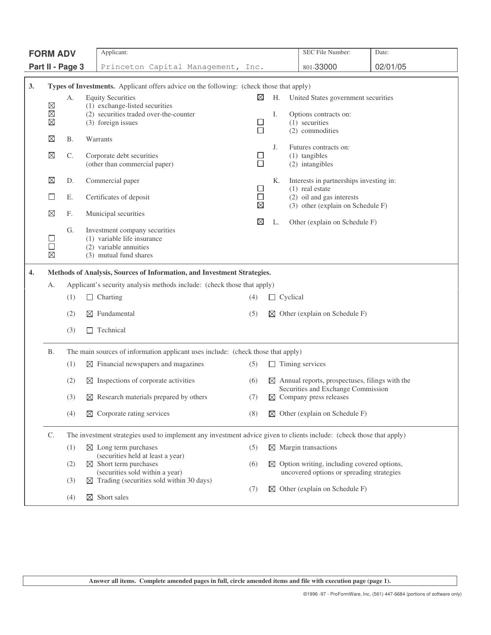| <b>FORM ADV</b> |                                                                         |                  | Applicant:                                                                                                           |                       |             |                 | SEC File Number:                                                                                 | Date:    |
|-----------------|-------------------------------------------------------------------------|------------------|----------------------------------------------------------------------------------------------------------------------|-----------------------|-------------|-----------------|--------------------------------------------------------------------------------------------------|----------|
|                 |                                                                         | Part II - Page 3 | Princeton Capital Management, Inc.                                                                                   |                       |             |                 | 801-33000                                                                                        | 02/01/05 |
|                 |                                                                         |                  |                                                                                                                      |                       |             |                 |                                                                                                  |          |
| 3.              |                                                                         |                  | Types of Investments. Applicant offers advice on the following: (check those that apply)<br><b>Equity Securities</b> | $\boxtimes$           | Н.          |                 | United States government securities                                                              |          |
|                 | ⊠                                                                       | А.               | (1) exchange-listed securities                                                                                       |                       |             |                 |                                                                                                  |          |
|                 | $\boxtimes$<br>$\boxtimes$                                              |                  | (2) securities traded over-the-counter<br>(3) foreign issues                                                         | $\Box$                | Ι.          |                 | Options contracts on:<br>(1) securities                                                          |          |
|                 |                                                                         |                  |                                                                                                                      | $\Box$                |             |                 | (2) commodities                                                                                  |          |
|                 | $\boxtimes$                                                             | <b>B.</b>        | Warrants                                                                                                             |                       | J.          |                 | Futures contracts on:                                                                            |          |
|                 | $\boxtimes$                                                             | C.               | Corporate debt securities<br>(other than commercial paper)                                                           | ⊔<br>□                |             |                 | (1) tangibles<br>(2) intangibles                                                                 |          |
|                 |                                                                         |                  |                                                                                                                      |                       |             |                 |                                                                                                  |          |
|                 | $\boxtimes$                                                             | D.               | Commercial paper                                                                                                     | ⊔                     | К.          |                 | Interests in partnerships investing in:<br>$(1)$ real estate                                     |          |
|                 | ⊔                                                                       | Е.               | Certificates of deposit                                                                                              | $\Box$<br>$\boxtimes$ |             |                 | (2) oil and gas interests<br>(3) other (explain on Schedule F)                                   |          |
|                 | $\boxtimes$                                                             | F.               | Municipal securities                                                                                                 |                       |             |                 |                                                                                                  |          |
|                 |                                                                         | G.               | Investment company securities                                                                                        | ⊠                     | L.          |                 | Other (explain on Schedule F)                                                                    |          |
|                 | □                                                                       |                  | (1) variable life insurance                                                                                          |                       |             |                 |                                                                                                  |          |
|                 | □<br>$\boxtimes$                                                        |                  | (2) variable annuities<br>(3) mutual fund shares                                                                     |                       |             |                 |                                                                                                  |          |
| 4.              | Methods of Analysis, Sources of Information, and Investment Strategies. |                  |                                                                                                                      |                       |             |                 |                                                                                                  |          |
|                 | А.                                                                      |                  | Applicant's security analysis methods include: (check those that apply)                                              |                       |             |                 |                                                                                                  |          |
|                 |                                                                         | (1)              | $\Box$ Charting                                                                                                      | (4)                   |             | $\Box$ Cyclical |                                                                                                  |          |
|                 |                                                                         | (2)              | $\boxtimes$ Fundamental                                                                                              | (5)                   |             |                 | $\boxtimes$ Other (explain on Schedule F)                                                        |          |
|                 |                                                                         |                  |                                                                                                                      |                       |             |                 |                                                                                                  |          |
|                 |                                                                         | (3)              | Technical<br>$\perp$                                                                                                 |                       |             |                 |                                                                                                  |          |
|                 | Β.                                                                      |                  | The main sources of information applicant uses include: (check those that apply)                                     |                       |             |                 |                                                                                                  |          |
|                 |                                                                         | (1)              | $\boxtimes$ Financial newspapers and magazines                                                                       | (5)                   |             |                 | $\Box$ Timing services                                                                           |          |
|                 |                                                                         | (2)              | $\boxtimes$ Inspections of corporate activities                                                                      | (6)                   |             |                 | $\boxtimes$ Annual reports, prospectuses, filings with the<br>Securities and Exchange Commission |          |
|                 |                                                                         | (3)              | $\boxtimes$ Research materials prepared by others                                                                    | (7)                   |             |                 | $\boxtimes$ Company press releases                                                               |          |
|                 |                                                                         | (4)              | $\boxtimes$ Corporate rating services                                                                                | (8)                   |             |                 | $\boxtimes$ Other (explain on Schedule F)                                                        |          |
|                 | C.                                                                      |                  | The investment strategies used to implement any investment advice given to clients include: (check those that apply) |                       |             |                 |                                                                                                  |          |
|                 |                                                                         | (1)              | $\boxtimes$ Long term purchases<br>(securities held at least a year)                                                 | (5)                   |             |                 | $\boxtimes$ Margin transactions                                                                  |          |
|                 |                                                                         | (2)              | $\boxtimes$ Short term purchases                                                                                     | (6)                   | $\boxtimes$ |                 | Option writing, including covered options,                                                       |          |
|                 |                                                                         | (3)              | (securities sold within a year)<br>$\boxtimes$ Trading (securities sold within 30 days)                              |                       |             |                 | uncovered options or spreading strategies                                                        |          |
|                 |                                                                         | (4)              | $\boxtimes$ Short sales                                                                                              | (7)                   | ⊠           |                 | Other (explain on Schedule F)                                                                    |          |
|                 |                                                                         |                  |                                                                                                                      |                       |             |                 |                                                                                                  |          |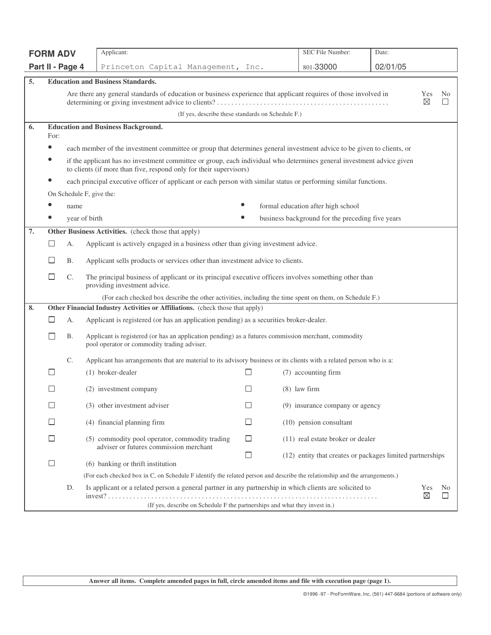| <b>FORM ADV</b> |                                                                                                                            |                                                                                                                                                                                                                                                                                                                      | Applicant:                                                                                                                                         |              | SEC File Number:                                          | Date:    |     |                          |  |
|-----------------|----------------------------------------------------------------------------------------------------------------------------|----------------------------------------------------------------------------------------------------------------------------------------------------------------------------------------------------------------------------------------------------------------------------------------------------------------------|----------------------------------------------------------------------------------------------------------------------------------------------------|--------------|-----------------------------------------------------------|----------|-----|--------------------------|--|
|                 | Part II - Page 4                                                                                                           |                                                                                                                                                                                                                                                                                                                      | Princeton Capital Management, Inc.                                                                                                                 |              | 801-33000                                                 | 02/01/05 |     |                          |  |
| 5.              |                                                                                                                            |                                                                                                                                                                                                                                                                                                                      | <b>Education and Business Standards.</b>                                                                                                           |              |                                                           |          |     |                          |  |
|                 |                                                                                                                            | Are there any general standards of education or business experience that applicant requires of those involved in<br>Yes<br>⊠                                                                                                                                                                                         |                                                                                                                                                    |              |                                                           |          |     | N <sub>0</sub><br>$\Box$ |  |
|                 |                                                                                                                            | (If yes, describe these standards on Schedule F.)                                                                                                                                                                                                                                                                    |                                                                                                                                                    |              |                                                           |          |     |                          |  |
| 6.              | For:                                                                                                                       | <b>Education and Business Background.</b>                                                                                                                                                                                                                                                                            |                                                                                                                                                    |              |                                                           |          |     |                          |  |
|                 | $\bullet$                                                                                                                  | each member of the investment committee or group that determines general investment advice to be given to clients, or<br>if the applicant has no investment committee or group, each individual who determines general investment advice given<br>to clients (if more than five, respond only for their supervisors) |                                                                                                                                                    |              |                                                           |          |     |                          |  |
|                 |                                                                                                                            |                                                                                                                                                                                                                                                                                                                      | each principal executive officer of applicant or each person with similar status or performing similar functions.                                  |              |                                                           |          |     |                          |  |
|                 |                                                                                                                            |                                                                                                                                                                                                                                                                                                                      | On Schedule F, give the:                                                                                                                           |              |                                                           |          |     |                          |  |
|                 |                                                                                                                            | name                                                                                                                                                                                                                                                                                                                 |                                                                                                                                                    |              | formal education after high school                        |          |     |                          |  |
|                 |                                                                                                                            | year of birth                                                                                                                                                                                                                                                                                                        |                                                                                                                                                    |              | business background for the preceding five years          |          |     |                          |  |
| 7.              |                                                                                                                            |                                                                                                                                                                                                                                                                                                                      | <b>Other Business Activities.</b> (check those that apply)                                                                                         |              |                                                           |          |     |                          |  |
|                 | ΙI                                                                                                                         | А.                                                                                                                                                                                                                                                                                                                   | Applicant is actively engaged in a business other than giving investment advice.                                                                   |              |                                                           |          |     |                          |  |
|                 | ப                                                                                                                          | Β.                                                                                                                                                                                                                                                                                                                   | Applicant sells products or services other than investment advice to clients.                                                                      |              |                                                           |          |     |                          |  |
|                 | ⊔                                                                                                                          | C.                                                                                                                                                                                                                                                                                                                   | The principal business of applicant or its principal executive officers involves something other than<br>providing investment advice.              |              |                                                           |          |     |                          |  |
|                 |                                                                                                                            |                                                                                                                                                                                                                                                                                                                      | (For each checked box describe the other activities, including the time spent on them, on Schedule F.)                                             |              |                                                           |          |     |                          |  |
| 8.              |                                                                                                                            |                                                                                                                                                                                                                                                                                                                      | Other Financial Industry Activities or Affiliations. (check those that apply)                                                                      |              |                                                           |          |     |                          |  |
|                 | ⊔                                                                                                                          | А.                                                                                                                                                                                                                                                                                                                   | Applicant is registered (or has an application pending) as a securities broker-dealer.                                                             |              |                                                           |          |     |                          |  |
|                 | $\mathbf{I}$                                                                                                               | В.                                                                                                                                                                                                                                                                                                                   | Applicant is registered (or has an application pending) as a futures commission merchant, commodity<br>pool operator or commodity trading adviser. |              |                                                           |          |     |                          |  |
|                 |                                                                                                                            | C.                                                                                                                                                                                                                                                                                                                   | Applicant has arrangements that are material to its advisory business or its clients with a related person who is a:                               |              |                                                           |          |     |                          |  |
|                 | ⊔                                                                                                                          |                                                                                                                                                                                                                                                                                                                      | (1) broker-dealer                                                                                                                                  | ப            | (7) accounting firm                                       |          |     |                          |  |
|                 |                                                                                                                            |                                                                                                                                                                                                                                                                                                                      | (2) investment company                                                                                                                             |              | $(8)$ law firm                                            |          |     |                          |  |
|                 | $\Box$                                                                                                                     |                                                                                                                                                                                                                                                                                                                      | (3) other investment adviser                                                                                                                       | $\Box$       | (9) insurance company or agency                           |          |     |                          |  |
|                 | $\Box$                                                                                                                     |                                                                                                                                                                                                                                                                                                                      | (4) financial planning firm                                                                                                                        | $\mathsf{I}$ | $(10)$ pension consultant                                 |          |     |                          |  |
|                 | ⊔                                                                                                                          |                                                                                                                                                                                                                                                                                                                      | (5) commodity pool operator, commodity trading<br>adviser or futures commission merchant                                                           | □            | (11) real estate broker or dealer                         |          |     |                          |  |
|                 | $\Box$                                                                                                                     |                                                                                                                                                                                                                                                                                                                      | (6) banking or thrift institution                                                                                                                  | □            | (12) entity that creates or packages limited partnerships |          |     |                          |  |
|                 | (For each checked box in C, on Schedule F identify the related person and describe the relationship and the arrangements.) |                                                                                                                                                                                                                                                                                                                      |                                                                                                                                                    |              |                                                           |          |     |                          |  |
|                 |                                                                                                                            | D.                                                                                                                                                                                                                                                                                                                   | Is applicant or a related person a general partner in any partnership in which clients are solicited to                                            |              |                                                           |          | Yes | N <sub>0</sub>           |  |
|                 |                                                                                                                            |                                                                                                                                                                                                                                                                                                                      | (If yes, describe on Schedule F the partnerships and what they invest in.)                                                                         |              |                                                           |          | ⊠   |                          |  |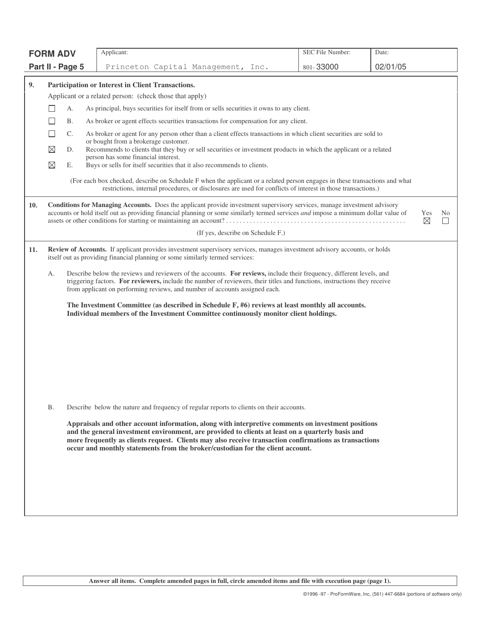|     | <b>FORM ADV</b>                                                                                                                                                                                                                                                                                                                         |                                                                                                                                                           | Applicant:                                                                                                                                                                                                                                                                                                                                                                                          | SEC File Number: | Date:          |  |  |  |  |
|-----|-----------------------------------------------------------------------------------------------------------------------------------------------------------------------------------------------------------------------------------------------------------------------------------------------------------------------------------------|-----------------------------------------------------------------------------------------------------------------------------------------------------------|-----------------------------------------------------------------------------------------------------------------------------------------------------------------------------------------------------------------------------------------------------------------------------------------------------------------------------------------------------------------------------------------------------|------------------|----------------|--|--|--|--|
|     | Part II - Page 5                                                                                                                                                                                                                                                                                                                        |                                                                                                                                                           | Princeton Capital Management, Inc.                                                                                                                                                                                                                                                                                                                                                                  | 801-33000        | 02/01/05       |  |  |  |  |
| 9.  |                                                                                                                                                                                                                                                                                                                                         |                                                                                                                                                           | Participation or Interest in Client Transactions.                                                                                                                                                                                                                                                                                                                                                   |                  |                |  |  |  |  |
|     |                                                                                                                                                                                                                                                                                                                                         |                                                                                                                                                           | Applicant or a related person: (check those that apply)                                                                                                                                                                                                                                                                                                                                             |                  |                |  |  |  |  |
|     | А.                                                                                                                                                                                                                                                                                                                                      |                                                                                                                                                           | As principal, buys securities for itself from or sells securities it owns to any client.                                                                                                                                                                                                                                                                                                            |                  |                |  |  |  |  |
|     | Β.                                                                                                                                                                                                                                                                                                                                      | As broker or agent effects securities transactions for compensation for any client.                                                                       |                                                                                                                                                                                                                                                                                                                                                                                                     |                  |                |  |  |  |  |
|     | П<br>$\mathbb{C}$ .                                                                                                                                                                                                                                                                                                                     | As broker or agent for any person other than a client effects transactions in which client securities are sold to                                         |                                                                                                                                                                                                                                                                                                                                                                                                     |                  |                |  |  |  |  |
|     | ⊠<br>D.                                                                                                                                                                                                                                                                                                                                 | or bought from a brokerage customer.<br>Recommends to clients that they buy or sell securities or investment products in which the applicant or a related |                                                                                                                                                                                                                                                                                                                                                                                                     |                  |                |  |  |  |  |
|     | $\boxtimes$                                                                                                                                                                                                                                                                                                                             |                                                                                                                                                           | person has some financial interest.                                                                                                                                                                                                                                                                                                                                                                 |                  |                |  |  |  |  |
|     | Е.                                                                                                                                                                                                                                                                                                                                      |                                                                                                                                                           | Buys or sells for itself securities that it also recommends to clients.                                                                                                                                                                                                                                                                                                                             |                  |                |  |  |  |  |
|     |                                                                                                                                                                                                                                                                                                                                         |                                                                                                                                                           | (For each box checked, describe on Schedule F when the applicant or a related person engages in these transactions and what<br>restrictions, internal procedures, or disclosures are used for conflicts of interest in those transactions.)                                                                                                                                                         |                  |                |  |  |  |  |
| 10. |                                                                                                                                                                                                                                                                                                                                         |                                                                                                                                                           | Conditions for Managing Accounts. Does the applicant provide investment supervisory services, manage investment advisory<br>accounts or hold itself out as providing financial planning or some similarly termed services and impose a minimum dollar value of                                                                                                                                      |                  | Yes<br>No<br>⊠ |  |  |  |  |
|     |                                                                                                                                                                                                                                                                                                                                         |                                                                                                                                                           | (If yes, describe on Schedule F.)                                                                                                                                                                                                                                                                                                                                                                   |                  |                |  |  |  |  |
| 11. |                                                                                                                                                                                                                                                                                                                                         |                                                                                                                                                           | Review of Accounts. If applicant provides investment supervisory services, manages investment advisory accounts, or holds<br>itself out as providing financial planning or some similarly termed services:                                                                                                                                                                                          |                  |                |  |  |  |  |
|     | Describe below the reviews and reviewers of the accounts. For reviews, include their frequency, different levels, and<br>А.<br>triggering factors. For reviewers, include the number of reviewers, their titles and functions, instructions they receive<br>from applicant on performing reviews, and number of accounts assigned each. |                                                                                                                                                           |                                                                                                                                                                                                                                                                                                                                                                                                     |                  |                |  |  |  |  |
|     | The Investment Committee (as described in Schedule F, #6) reviews at least monthly all accounts.<br>Individual members of the Investment Committee continuously monitor client holdings.                                                                                                                                                |                                                                                                                                                           |                                                                                                                                                                                                                                                                                                                                                                                                     |                  |                |  |  |  |  |
|     |                                                                                                                                                                                                                                                                                                                                         |                                                                                                                                                           |                                                                                                                                                                                                                                                                                                                                                                                                     |                  |                |  |  |  |  |
|     |                                                                                                                                                                                                                                                                                                                                         |                                                                                                                                                           |                                                                                                                                                                                                                                                                                                                                                                                                     |                  |                |  |  |  |  |
|     |                                                                                                                                                                                                                                                                                                                                         |                                                                                                                                                           |                                                                                                                                                                                                                                                                                                                                                                                                     |                  |                |  |  |  |  |
|     | <b>B.</b>                                                                                                                                                                                                                                                                                                                               |                                                                                                                                                           | Describe below the nature and frequency of regular reports to clients on their accounts.                                                                                                                                                                                                                                                                                                            |                  |                |  |  |  |  |
|     |                                                                                                                                                                                                                                                                                                                                         |                                                                                                                                                           | Appraisals and other account information, along with interpretive comments on investment positions<br>and the general investment environment, are provided to clients at least on a quarterly basis and<br>more frequently as clients request. Clients may also receive transaction confirmations as transactions<br>occur and monthly statements from the broker/custodian for the client account. |                  |                |  |  |  |  |
|     |                                                                                                                                                                                                                                                                                                                                         |                                                                                                                                                           |                                                                                                                                                                                                                                                                                                                                                                                                     |                  |                |  |  |  |  |
|     |                                                                                                                                                                                                                                                                                                                                         |                                                                                                                                                           |                                                                                                                                                                                                                                                                                                                                                                                                     |                  |                |  |  |  |  |
|     |                                                                                                                                                                                                                                                                                                                                         |                                                                                                                                                           |                                                                                                                                                                                                                                                                                                                                                                                                     |                  |                |  |  |  |  |